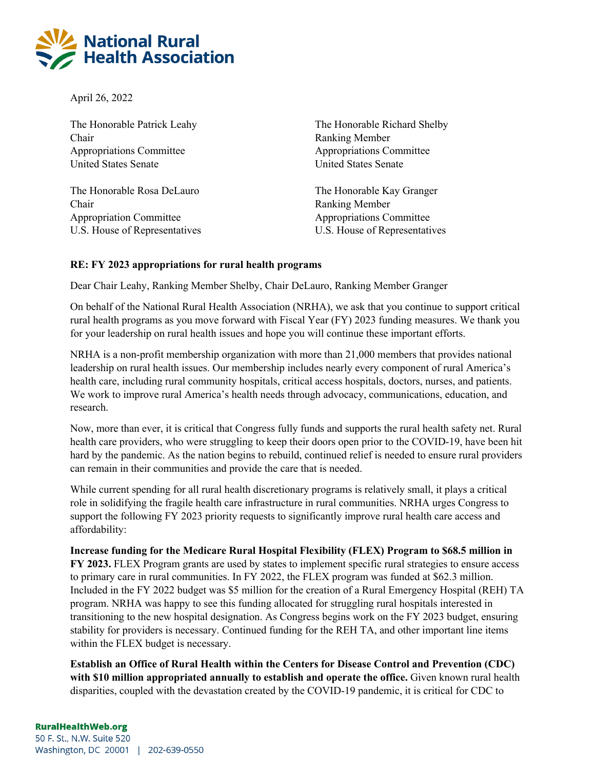

April 26, 2022

The Honorable Patrick Leahy Chair Appropriations Committee United States Senate

The Honorable Rosa DeLauro Chair Appropriation Committee U.S. House of Representatives The Honorable Richard Shelby Ranking Member Appropriations Committee United States Senate

The Honorable Kay Granger Ranking Member Appropriations Committee U.S. House of Representatives

## **RE: FY 2023 appropriations for rural health programs**

Dear Chair Leahy, Ranking Member Shelby, Chair DeLauro, Ranking Member Granger

On behalf of the National Rural Health Association (NRHA), we ask that you continue to support critical rural health programs as you move forward with Fiscal Year (FY) 2023 funding measures. We thank you for your leadership on rural health issues and hope you will continue these important efforts.

NRHA is a non-profit membership organization with more than 21,000 members that provides national leadership on rural health issues. Our membership includes nearly every component of rural America's health care, including rural community hospitals, critical access hospitals, doctors, nurses, and patients. We work to improve rural America's health needs through advocacy, communications, education, and research.

Now, more than ever, it is critical that Congress fully funds and supports the rural health safety net. Rural health care providers, who were struggling to keep their doors open prior to the COVID-19, have been hit hard by the pandemic. As the nation begins to rebuild, continued relief is needed to ensure rural providers can remain in their communities and provide the care that is needed.

While current spending for all rural health discretionary programs is relatively small, it plays a critical role in solidifying the fragile health care infrastructure in rural communities. NRHA urges Congress to support the following FY 2023 priority requests to significantly improve rural health care access and affordability:

**Increase funding for the Medicare Rural Hospital Flexibility (FLEX) Program to \$68.5 million in FY 2023.** FLEX Program grants are used by states to implement specific rural strategies to ensure access to primary care in rural communities. In FY 2022, the FLEX program was funded at \$62.3 million. Included in the FY 2022 budget was \$5 million for the creation of a Rural Emergency Hospital (REH) TA program. NRHA was happy to see this funding allocated for struggling rural hospitals interested in transitioning to the new hospital designation. As Congress begins work on the FY 2023 budget, ensuring stability for providers is necessary. Continued funding for the REH TA, and other important line items within the FLEX budget is necessary.

**Establish an Office of Rural Health within the Centers for Disease Control and Prevention (CDC) with \$10 million appropriated annually to establish and operate the office.** Given known rural health disparities, coupled with the devastation created by the COVID-19 pandemic, it is critical for CDC to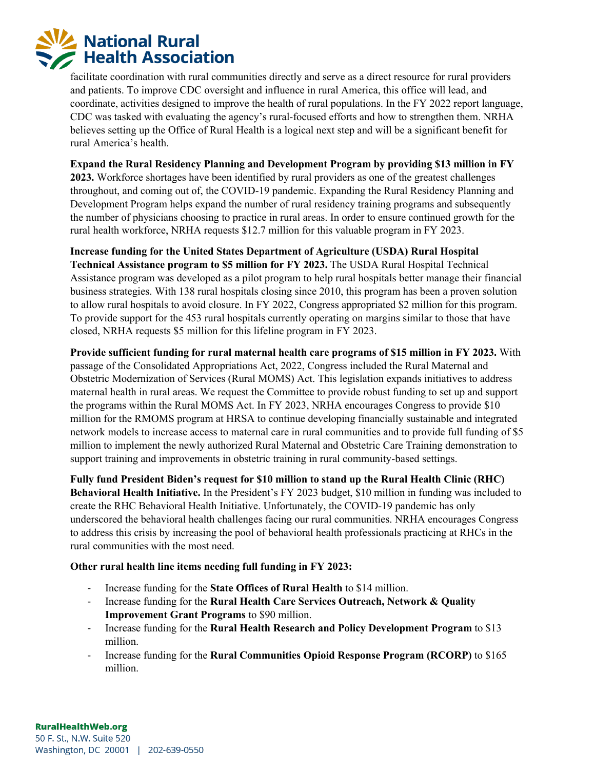

facilitate coordination with rural communities directly and serve as a direct resource for rural providers and patients. To improve CDC oversight and influence in rural America, this office will lead, and coordinate, activities designed to improve the health of rural populations. In the FY 2022 report language, CDC was tasked with evaluating the agency's rural-focused efforts and how to strengthen them. NRHA believes setting up the Office of Rural Health is a logical next step and will be a significant benefit for rural America's health.

**Expand the Rural Residency Planning and Development Program by providing \$13 million in FY 2023.** Workforce shortages have been identified by rural providers as one of the greatest challenges throughout, and coming out of, the COVID-19 pandemic. Expanding the Rural Residency Planning and Development Program helps expand the number of rural residency training programs and subsequently the number of physicians choosing to practice in rural areas. In order to ensure continued growth for the rural health workforce, NRHA requests \$12.7 million for this valuable program in FY 2023.

**Increase funding for the United States Department of Agriculture (USDA) Rural Hospital Technical Assistance program to \$5 million for FY 2023.** The USDA Rural Hospital Technical Assistance program was developed as a pilot program to help rural hospitals better manage their financial business strategies. With 138 rural hospitals closing since 2010, this program has been a proven solution to allow rural hospitals to avoid closure. In FY 2022, Congress appropriated \$2 million for this program. To provide support for the 453 rural hospitals currently operating on margins similar to those that have closed, NRHA requests \$5 million for this lifeline program in FY 2023.

**Provide sufficient funding for rural maternal health care programs of \$15 million in FY 2023.** With passage of the Consolidated Appropriations Act, 2022, Congress included the Rural Maternal and Obstetric Modernization of Services (Rural MOMS) Act. This legislation expands initiatives to address maternal health in rural areas. We request the Committee to provide robust funding to set up and support the programs within the Rural MOMS Act. In FY 2023, NRHA encourages Congress to provide \$10 million for the RMOMS program at HRSA to continue developing financially sustainable and integrated network models to increase access to maternal care in rural communities and to provide full funding of \$5 million to implement the newly authorized Rural Maternal and Obstetric Care Training demonstration to support training and improvements in obstetric training in rural community-based settings.

**Fully fund President Biden's request for \$10 million to stand up the Rural Health Clinic (RHC) Behavioral Health Initiative.** In the President's FY 2023 budget, \$10 million in funding was included to create the RHC Behavioral Health Initiative. Unfortunately, the COVID-19 pandemic has only underscored the behavioral health challenges facing our rural communities. NRHA encourages Congress to address this crisis by increasing the pool of behavioral health professionals practicing at RHCs in the rural communities with the most need.

## **Other rural health line items needing full funding in FY 2023:**

- Increase funding for the **State Offices of Rural Health** to \$14 million.
- Increase funding for the **Rural Health Care Services Outreach, Network & Quality Improvement Grant Programs** to \$90 million.
- Increase funding for the **Rural Health Research and Policy Development Program** to \$13 million.
- Increase funding for the **Rural Communities Opioid Response Program (RCORP)** to \$165 million.